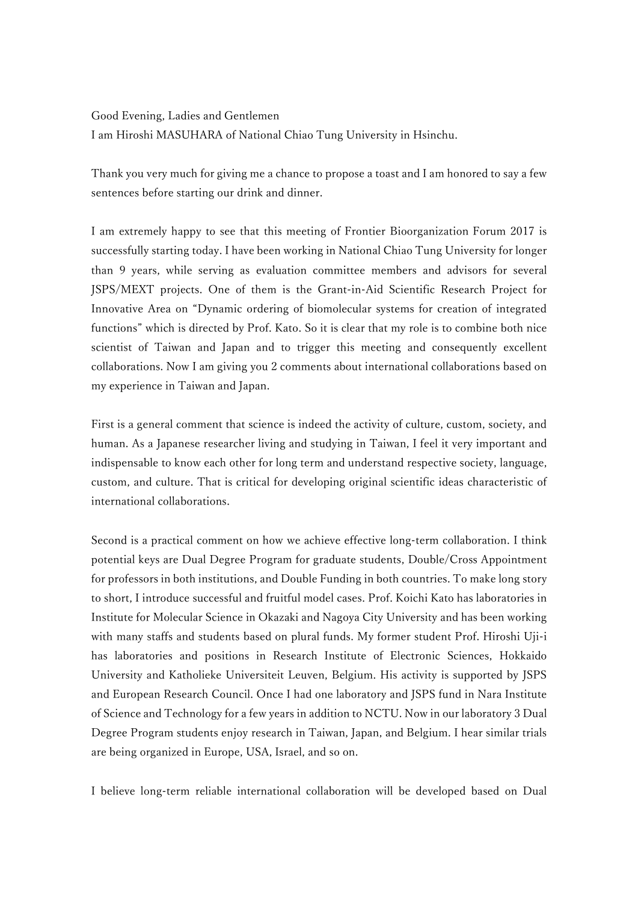Good Evening, Ladies and Gentlemen I am Hiroshi MASUHARA of National Chiao Tung University in Hsinchu.

Thank you very much for giving me a chance to propose a toast and I am honored to say a few sentences before starting our drink and dinner.

I am extremely happy to see that this meeting of Frontier Bioorganization Forum 2017 is successfully starting today. I have been working in National Chiao Tung University for longer than 9 years, while serving as evaluation committee members and advisors for several JSPS/MEXT projects. One of them is the Grant-in-Aid Scientific Research Project for Innovative Area on "Dynamic ordering of biomolecular systems for creation of integrated functions" which is directed by Prof. Kato. So it is clear that my role is to combine both nice scientist of Taiwan and Japan and to trigger this meeting and consequently excellent collaborations. Now I am giving you 2 comments about international collaborations based on my experience in Taiwan and Japan.

First is a general comment that science is indeed the activity of culture, custom, society, and human. As a Japanese researcher living and studying in Taiwan, I feel it very important and indispensable to know each other for long term and understand respective society, language, custom, and culture. That is critical for developing original scientific ideas characteristic of international collaborations.

Second is a practical comment on how we achieve effective long-term collaboration. I think potential keys are Dual Degree Program for graduate students, Double/Cross Appointment for professors in both institutions, and Double Funding in both countries. To make long story to short, I introduce successful and fruitful model cases. Prof. Koichi Kato has laboratories in Institute for Molecular Science in Okazaki and Nagoya City University and has been working with many staffs and students based on plural funds. My former student Prof. Hiroshi Uji-i has laboratories and positions in Research Institute of Electronic Sciences, Hokkaido University and Katholieke Universiteit Leuven, Belgium. His activity is supported by JSPS and European Research Council. Once I had one laboratory and JSPS fund in Nara Institute of Science and Technology for a few years in addition to NCTU. Now in our laboratory 3 Dual Degree Program students enjoy research in Taiwan, Japan, and Belgium. I hear similar trials are being organized in Europe, USA, Israel, and so on.

I believe long-term reliable international collaboration will be developed based on Dual